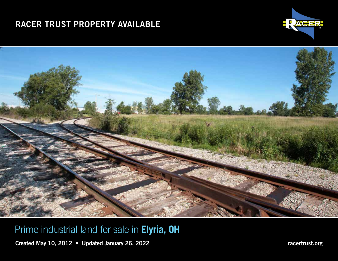# RACER TRUST PROPERTY AVAILABLE IN ELECTRIC IN ELECTRIC RESERVED BY A LIMIT OF REAL PROPERTY.





# Prime industrial land for sale in **Elyria, OH**

Created May 10, 2012 • Updated January 26, 2022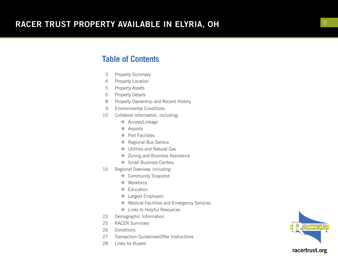#### **Table of Contents**

- <sup>3</sup> Property Summary 4 Property Location
- 
- 5 Property Assets
- 6 Property Details
- 8 Property Ownership and Recent History
- 9 Environmental Conditions
- 10 Collateral Information, including:
	- \* Access/Linkage
	- $\star$  Airports
	- $\star$  Port Facilities
	- \* Regional Bus Service
	- $\star$  Utilities and Natural Gas
	- $\star$  Zoning and Business Assistance
	- \* Small Business Centers
- 16 Regional Overview, including:
	- \* Community Snapshot
	- \* Workforce
	- $\star$  Education
	- \* Largest Employers
	- \* Medical Facilities and Emergency Services
	- \* Links to Helpful Resources
- 23 Demographic Information
- 25 RACER Summary
- 26 Conditions
- 27 Transaction Guidelines/Offer Instructions
- 28 Links for Buyers

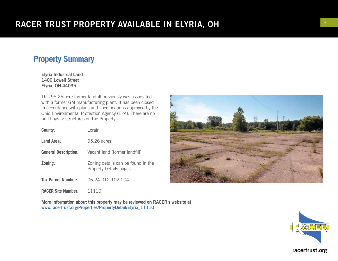### **Property Summary**

Elyria Industrial Land 1400 Lowell Street Elyria, OH 44035

This 95.26-acre former landfill previously was associated with a former GM manufacturing plant. It has been closed in accordance with plans and specifications approved by the Ohio Environmental Protection Agency (EPA). There are no buildings or structures on the Property.

| County:                     | Lorain                                                        |
|-----------------------------|---------------------------------------------------------------|
| Land Area:                  | 95.26 acres                                                   |
| <b>General Description:</b> | Vacant land (former landfill)                                 |
| Zoning:                     | Zoning details can be found in the<br>Property Details pages. |
| <b>Tax Parcel Number:</b>   | 06-24-012-102-004                                             |
| <b>RACER Site Number:</b>   |                                                               |

More information about this property may be reviewed on RACER's website at www.racertrust.org/Properties/PropertyDetail/Elyria\_11110



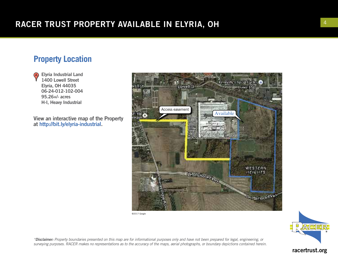### **Property Location**

Elyria Industrial Land (A) 1400 Lowell Street Elyria, OH 44035 06-24-012-102-004 95.26+/- acres H-I, Heavy Industrial

View an interactive map of the Property at http://bit.ly/elyria-industrial.



©2017 Google



*\*Disclaimer: Property boundaries presented on this map are for informational purposes only and have not been prepared for legal, engineering, or surveying purposes. RACER makes no representations as to the accuracy of the maps, aerial photographs, or boundary depictions contained herein.*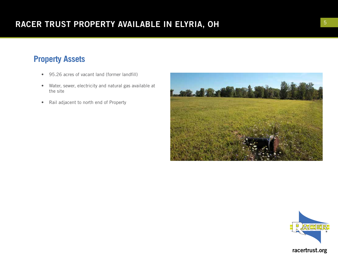# **Property Assets**

- 95.26 acres of vacant land (former landfill)
- Water, sewer, electricity and natural gas available at the site
- Rail adjacent to north end of Property



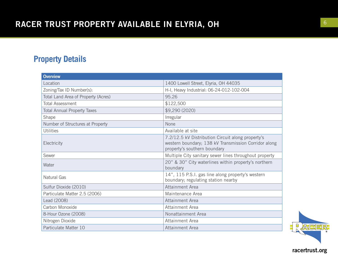# **Property Details**

| <b>Overview</b>                     |                                                                                                                                           |
|-------------------------------------|-------------------------------------------------------------------------------------------------------------------------------------------|
| Location                            | 1400 Lowell Street, Elyria, OH 44035                                                                                                      |
| Zoning/Tax ID Number(s):            | H-I, Heavy Industrial: 06-24-012-102-004                                                                                                  |
| Total Land Area of Property (Acres) | 95.26                                                                                                                                     |
| <b>Total Assessment</b>             | \$122,500                                                                                                                                 |
| <b>Total Annual Property Taxes</b>  | \$9,290 (2020)                                                                                                                            |
| Shape                               | Irregular                                                                                                                                 |
| Number of Structures at Property    | None                                                                                                                                      |
| <b>Utilities</b>                    | Available at site                                                                                                                         |
| Electricity                         | 7.2/12.5 kV Distribution Circuit along property's<br>western boundary; 138 kV Transmission Corridor along<br>property's southern boundary |
| Sewer                               | Multiple City sanitary sewer lines throughout property                                                                                    |
| Water                               | 20" & 30" City waterlines within property's northern<br>boundary                                                                          |
| <b>Natural Gas</b>                  | 14", 115 P.S.I. gas line along property's western<br>boundary; regulating station nearby                                                  |
| Sulfur Dioxide (2010)               | Attainment Area                                                                                                                           |
| Particulate Matter 2.5 (2006)       | Maintenance Area                                                                                                                          |
| Lead (2008)                         | Attainment Area                                                                                                                           |
| Carbon Monoxide                     | Attainment Area                                                                                                                           |
| 8-Hour Ozone (2008)                 | Nonattainment Area                                                                                                                        |
| Nitrogen Dioxide                    | Attainment Area                                                                                                                           |
| Particulate Matter 10               | Attainment Area                                                                                                                           |

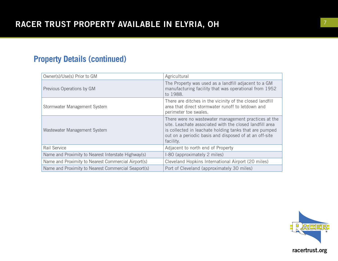# **Property Details (continued)**

| Owner(s)/Use(s) Prior to GM                         | Agricultural                                                                                                                                                                                                                                     |
|-----------------------------------------------------|--------------------------------------------------------------------------------------------------------------------------------------------------------------------------------------------------------------------------------------------------|
| Previous Operations by GM                           | The Property was used as a landfill adjacent to a GM<br>manufacturing facility that was operational from 1952<br>to 1988.                                                                                                                        |
| Stormwater Management System                        | There are ditches in the vicinity of the closed landfill<br>area that direct stormwater runoff to letdown and<br>perimeter toe swales.                                                                                                           |
| Wastewater Management System                        | There were no wastewater management practices at the<br>site. Leachate associated with the closed landfill area<br>is collected in leachate holding tanks that are pumped<br>out on a periodic basis and disposed of at an off-site<br>facility. |
| Rail Service                                        | Adjacent to north end of Property                                                                                                                                                                                                                |
| Name and Proximity to Nearest Interstate Highway(s) | I-80 (approximately 2 miles)                                                                                                                                                                                                                     |
| Name and Proximity to Nearest Commercial Airport(s) | Cleveland Hopkins International Airport (20 miles)                                                                                                                                                                                               |
| Name and Proximity to Nearest Commercial Seaport(s) | Port of Cleveland (approximately 30 miles)                                                                                                                                                                                                       |

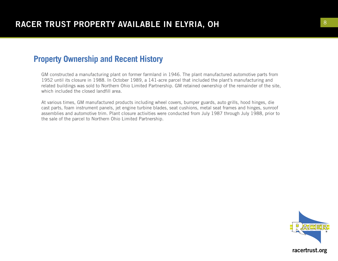#### **Property Ownership and Recent History**

GM constructed a manufacturing plant on former farmland in 1946. The plant manufactured automotive parts from 1952 until its closure in 1988. In October 1989, a 141-acre parcel that included the plant's manufacturing and related buildings was sold to Northern Ohio Limited Partnership. GM retained ownership of the remainder of the site, which included the closed landfill area.

At various times, GM manufactured products including wheel covers, bumper guards, auto grills, hood hinges, die cast parts, foam instrument panels, jet engine turbine blades, seat cushions, metal seat frames and hinges, sunroof assemblies and automotive trim. Plant closure activities were conducted from July 1987 through July 1988, prior to the sale of the parcel to Northern Ohio Limited Partnership.

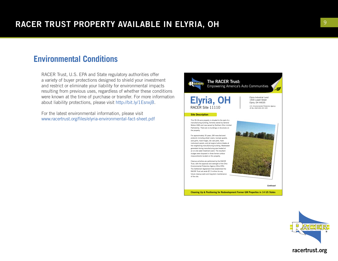#### **Environmental Conditions**

RACER Trust, U.S. EPA and State regulatory authorities offer a variety of buyer protections designed to shield your investment and restrict or eliminate your liability for environmental impacts resulting from previous uses, regardless of whether these conditions were known at the time of purchase or transfer. For more information about liability protections, please visit http://bit.ly/1EsnxjB.

For the latest environmental information, please visit www.racertrust.org/files/elyria-environmental-fact-sheet.pdf



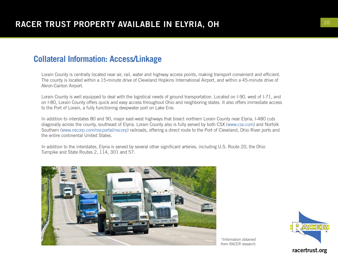#### **Collateral Information: Access/Linkage**

Lorain County is centrally located near air, rail, water and highway access points, making transport convenient and efficient. The county is located within a 15-minute drive of Cleveland Hopkins International Airport, and within a 45-minute drive of Akron-Canton Airport.

Lorain County is well equipped to deal with the logistical needs of ground transportation. Located on I-90, west of I-71, and on I-80, Lorain County offers quick and easy access throughout Ohio and neighboring states. It also offers immediate access to the Port of Lorain, a fully functioning deepwater port on Lake Erie.

In addition to interstates 80 and 90, major east-west highways that bisect northern Lorain County near Elyria, I-480 cuts diagonally across the county, southeast of Elyria. Lorain County also is fully served by both CSX (www.csx.com) and Norfolk Southern (www.nscorp.com/nscportal/nscorp) railroads, offering a direct route to the Port of Cleveland, Ohio River ports and the entire continental United States.

In addition to the interstates, Elyria is served by several other significant arteries, including U.S. Route 20, the Ohio Turnpike and State Routes 2, 114, 301 and 57.



*\*Information obtained from RACER research.*

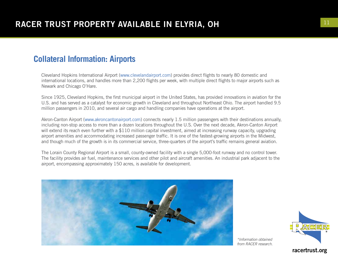### **Collateral Information: Airports**

Cleveland Hopkins International Airport (www.clevelandairport.com) provides direct flights to nearly 80 domestic and international locations, and handles more than 2,200 flights per week, with multiple direct flights to major airports such as Newark and Chicago O'Hare.

Since 1925, Cleveland Hopkins, the first municipal airport in the United States, has provided innovations in aviation for the U.S. and has served as a catalyst for economic growth in Cleveland and throughout Northeast Ohio. The airport handled 9.5 million passengers in 2010, and several air cargo and handling companies have operations at the airport.

Akron-Canton Airport (www.akroncantonairport.com) connects nearly 1.5 million passengers with their destinations annually, including non-stop access to more than a dozen locations throughout the U.S. Over the next decade, Akron-Canton Airport will extend its reach even further with a \$110 million capital investment, aimed at increasing runway capacity, upgrading airport amenities and accommodating increased passenger traffic. It is one of the fastest-growing airports in the Midwest, and though much of the growth is in its commercial service, three-quarters of the airport's traffic remains general aviation.

The Lorain County Regional Airport is a small, county-owned facility with a single 5,000-foot runway and no control tower. The facility provides air fuel, maintenance services and other pilot and aircraft amenities. An industrial park adjacent to the airport, encompassing approximately 150 acres, is available for development.

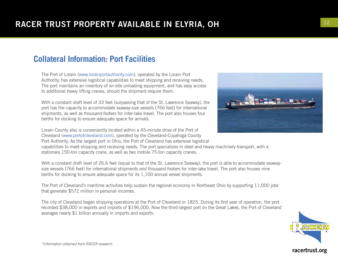### **Collateral Information: Port Facilities**

The Port of Lorain (www.lorainportauthority.com), operated by the Lorain Port Authority, has extensive logistical capabilities to meet shipping and receiving needs. The port maintains an inventory of on-site unloading equipment, and has easy access to additional heavy lifting cranes, should the shipment require them.

With a constant draft level of 33 feet (surpassing that of the St. Lawrence Seaway), the port has the capacity to accommodate seaway-size vessels (766 feet) for international shipments, as well as thousand-footers for inter-lake travel. The port also houses four berths for docking to ensure adequate space for arrivals.

Lorain County also is conveniently located within a 45-minute drive of the Port of Cleveland (www.portofcleveland.com), operated by the Cleveland-Cuyahoga County Port Authority. As the largest port in Ohio, the Port of Cleveland has extensive logistical

capabilities to meet shipping and receiving needs. The port specializes in steel and heavy machinery transport, with a stationary 150-ton capacity crane, as well as two mobile 75-ton capacity cranes.

With a constant draft level of 26.6 feet (equal to that of the St. Lawrence Seaway), the port is able to accommodate seawaysize vessels (766 feet) for international shipments and thousand-footers for inter-lake travel. The port also houses nine berths for docking to ensure adequate space for its 1,100 annual vessel shipments.

The Port of Cleveland's maritime activities help sustain the regional economy in Northeast Ohio by supporting 11,000 jobs that generate \$572 million in personal incomes.

The city of Cleveland began shipping operations at the Port of Cleveland in 1825. During its first year of operation, the port recorded \$38,000 in exports and imports of \$196,000. Now the third-largest port on the Great Lakes, the Port of Cleveland averages nearly \$1 billion annually in imports and exports.



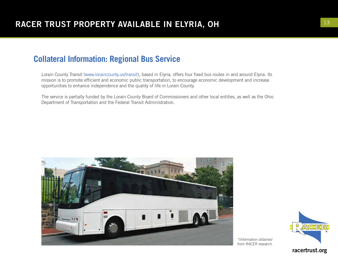### **Collateral Information: Regional Bus Service**

Lorain County Transit (www.loraincounty.us/transit), based in Elyria, offers four fixed bus routes in and around Elyria. Its mission is to promote efficient and economic public transportation, to encourage economic development and increase opportunities to enhance independence and the quality of life in Lorain County.

The service is partially funded by the Lorain County Board of Commissioners and other local entities, as well as the Ohio Department of Transportation and the Federal Transit Administration.





*\*Information obtained from RACER research.*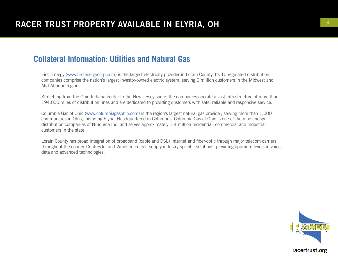#### **Collateral Information: Utilities and Natural Gas**

First Energy (www.firstenergycorp.com) is the largest electricity provider in Lorain County. Its 10 regulated distribution companies comprise the nation's largest investor-owned electric system, serving 6 million customers in the Midwest and Mid-Atlantic regions.

Stretching from the Ohio-Indiana border to the New Jersey shore, the companies operate a vast infrastructure of more than 194,000 miles of distribution lines and are dedicated to providing customers with safe, reliable and responsive service.

Columbia Gas of Ohio (www.columbiagasohio.com) is the region's largest natural gas provider, serving more than 1,000 communities in Ohio, including Elyria. Headquartered in Columbus, Columbia Gas of Ohio is one of the nine energy distribution companies of NiSource Inc. and serves approximately 1.4 million residential, commercial and industrial customers in the state.

Lorain County has broad integration of broadband (cable and DSL) Internet and fiber-optic through major telecom carriers throughout the county. CenturyTel and Windstream can supply industry-specific solutions, providing optimum levels in voice, data and advanced technologies.

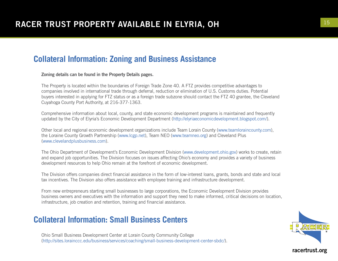### **Collateral Information: Zoning and Business Assistance**

Zoning details can be found in the Property Details pages.

The Property is located within the boundaries of Foreign Trade Zone 40. A FTZ provides competitive advantages to companies involved in international trade through deferral, reduction or elimination of U.S. Customs duties. Potential buyers interested in applying for FTZ status or as a foreign trade subzone should contact the FTZ 40 grantee, the Cleveland Cuyahoga County Port Authority, at 216-377-1363.

Comprehensive information about local, county, and state economic development programs is maintained and frequently updated by the City of Elyria's Economic Development Department (http://elyriaeconomicdevelopment.blogspot.com/).

Other local and regional economic development organizations include Team Lorain County (www.teamloraincounty.com), the Loraine County Growth Partnership (www.lcgp.net), Team NEO (www.teamneo.org) and Cleveland Plus (www.clevelandplusbusiness.com).

The Ohio Department of Development's Economic Development Division (www.development.ohio.gov) works to create, retain and expand job opportunities. The Division focuses on issues affecting Ohio's economy and provides a variety of business development resources to help Ohio remain at the forefront of economic development.

The Division offers companies direct financial assistance in the form of low-interest loans, grants, bonds and state and local tax incentives. The Division also offers assistance with employee training and infrastructure development.

From new entrepreneurs starting small businesses to large corporations, the Economic Development Division provides business owners and executives with the information and support they need to make informed, critical decisions on location, infrastructure, job creation and retention, training and financial assistance.

### **Collateral Information: Small Business Centers**

Ohio Small Business Development Center at Lorain County Community College (http://sites.lorainccc.edu/business/services/coaching/small-business-development-center-sbdc/).

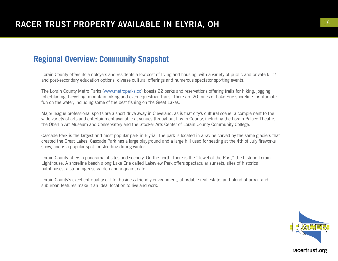### **Regional Overview: Community Snapshot**

Lorain County offers its employers and residents a low cost of living and housing, with a variety of public and private k-12 and post-secondary education options, diverse cultural offerings and numerous spectator sporting events.

The Lorain County Metro Parks (www.metroparks.cc) boasts 22 parks and reservations offering trails for hiking, jogging, rollerblading, bicycling, mountain biking and even equestrian trails. There are 20 miles of Lake Erie shoreline for ultimate fun on the water, including some of the best fishing on the Great Lakes.

Major league professional sports are a short drive away in Cleveland, as is that city's cultural scene, a complement to the wide variety of arts and entertainment available at venues throughout Lorain County, including the Lorain Palace Theatre, the Oberlin Art Museum and Conservatory and the Stocker Arts Center of Lorain County Community College.

Cascade Park is the largest and most popular park in Elyria. The park is located in a ravine carved by the same glaciers that created the Great Lakes. Cascade Park has a large playground and a large hill used for seating at the 4th of July fireworks show, and is a popular spot for sledding during winter.

Lorain County offers a panorama of sites and scenery. On the north, there is the "Jewel of the Port," the historic Lorain Lighthouse. A shoreline beach along Lake Erie called Lakeview Park offers spectacular sunsets, sites of historical bathhouses, a stunning rose garden and a quaint café.

Lorain County's excellent quality of life, business-friendly environment, affordable real estate, and blend of urban and suburban features make it an ideal location to live and work.

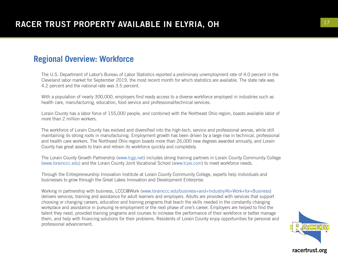#### **Regional Overview: Workforce**

The U.S. Department of Labor's Bureau of Labor Statistics reported a preliminary unemployment rate of 4.0 percent in the Cleveland labor market for September 2019, the most recent month for which statistics are available. The state rate was 4.2 percent and the national rate was 3.5 percent.

With a population of nearly 300,000, employers find ready access to a diverse workforce employed in industries such as health care, manufacturing, education, food service and professional/technical services.

Lorain County has a labor force of 155,000 people, and combined with the Northeast Ohio region, boasts available labor of more than 2 million workers.

The workforce of Lorain County has evolved and diversified into the high-tech, service and professional arenas, while still maintaining its strong roots in manufacturing. Employment growth has been driven by a large rise in technical, professional and health care workers. The Northeast Ohio region boasts more than 26,000 new degrees awarded annually, and Lorain County has great assets to train and retrain its workforce quickly and completely.

The Lorain County Growth Partnership (www.lcgp.net) includes strong training partners in Lorain County Community College (www.lorainccc.edu) and the Lorain County Joint Vocational School (www.lcjvs.com) to meet workforce needs.

Through the Entrepreneurship Innovation Institute at Lorain County Community College, experts help individuals and businesses to grow through the Great Lakes Innovation and Development Enterprise.

Working in partnership with business, LCCC@Work (www.lorainccc.edu/business+and+Industry/At+Work+for+Business) delivers services, training and assistance for adult learners and employers. Adults are provided with services that support choosing or changing careers, education and training programs that teach the skills needed in the constantly changing workplace and assistance in pursuing re-employment or the next phase of one's career. Employers are helped to find the talent they need, provided training programs and courses to increase the performance of their workforce or better manage them, and help with financing solutions for their problems. Residents of Lorain County enjoy opportunities for personal and professional advancement.

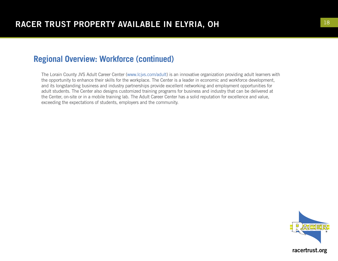#### **Regional Overview: Workforce (continued)**

The Lorain County JVS Adult Career Center (www.lcjvs.com/adult) is an innovative organization providing adult learners with the opportunity to enhance their skills for the workplace. The Center is a leader in economic and workforce development, and its longstanding business and industry partnerships provide excellent networking and employment opportunities for adult students. The Center also designs customized training programs for business and industry that can be delivered at the Center, on-site or in a mobile training lab. The Adult Career Center has a solid reputation for excellence and value, exceeding the expectations of students, employers and the community.

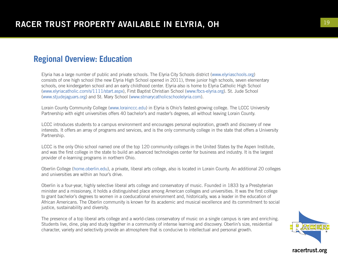#### **Regional Overview: Education**

Elyria has a large number of public and private schools. The Elyria City Schools district (www.elyriaschools.org) consists of one high school (the new Elyria High School opened in 2011), three junior high schools, seven elementary schools, one kindergarten school and an early childhood center. Elyria also is home to Elyria Catholic High School (www.elyriacatholic.com/s/1111/start.aspx), First Baptist Christian School (www.fbcs-elyria.org). St. Jude School (www.stjudejaguars.org) and St. Mary School (www.stmarycatholicschoolelyria.com).

Lorain County Community College (www.lorainccc.edu) in Elyria is Ohio's fastest-growing college. The LCCC University Partnership with eight universities offers 40 bachelor's and master's degrees, all without leaving Lorain County.

LCCC introduces students to a campus environment and encourages personal exploration, growth and discovery of new interests. It offers an array of programs and services, and is the only community college in the state that offers a University Partnership.

LCCC is the only Ohio school named one of the top 120 community colleges in the United States by the Aspen Institute, and was the first college in the state to build an advanced technologies center for business and industry. It is the largest provider of e-learning programs in northern Ohio.

Oberlin College (home.oberlin.edu), a private, liberal arts college, also is located in Lorain County. An additional 20 colleges and universities are within an hour's drive.

Oberlin is a four-year, highly selective liberal arts college and conservatory of music. Founded in 1833 by a Presbyterian minister and a missionary, it holds a distinguished place among American colleges and universities. It was the first college to grant bachelor's degrees to women in a coeducational environment and, historically, was a leader in the education of African Americans. The Oberlin community is known for its academic and musical excellence and its commitment to social justice, sustainability and diversity.

The presence of a top liberal arts college and a world-class conservatory of music on a single campus is rare and enriching. Students live, dine, play and study together in a community of intense learning and discovery. Oberlin's size, residential character, variety and selectivity provide an atmosphere that is conducive to intellectual and personal growth.

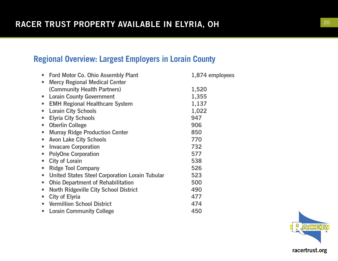# **Regional Overview: Largest Employers in Lorain County**

| • Ford Motor Co. Ohio Assembly Plant                  | 1,874 employees |
|-------------------------------------------------------|-----------------|
| <b>Mercy Regional Medical Center</b>                  |                 |
| (Community Health Partners)                           | 1,520           |
| <b>Lorain County Government</b>                       | 1,355           |
| <b>EMH Regional Healthcare System</b>                 | 1,137           |
| <b>Lorain City Schools</b>                            | 1,022           |
| <b>Elyria City Schools</b>                            | 947             |
| <b>Oberlin College</b>                                | 906             |
| <b>Murray Ridge Production Center</b>                 | 850             |
| <b>Avon Lake City Schools</b>                         | 770             |
| <b>Invacare Corporation</b>                           | 732             |
| <b>PolyOne Corporation</b>                            | 577             |
| <b>City of Lorain</b>                                 | 538             |
| <b>Ridge Tool Company</b>                             | 526             |
| <b>United States Steel Corporation Lorain Tubular</b> | 523             |
| <b>Ohio Department of Rehabilitation</b>              | 500             |
| <b>North Ridgeville City School District</b>          | 490             |
| <b>City of Elyria</b>                                 | 477             |
| • Vermillion School District                          | 474             |
| <b>Lorain Community College</b>                       | 450             |

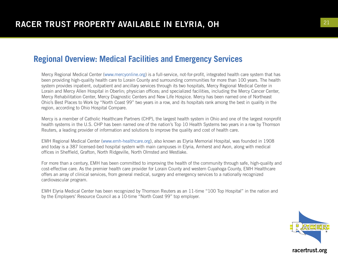#### **Regional Overview: Medical Facilities and Emergency Services**

Mercy Regional Medical Center (www.mercyonline.org) is a full-service, not-for-profit, integrated health care system that has been providing high-quality health care to Lorain County and surrounding communities for more than 100 years. The health system provides inpatient, outpatient and ancillary services through its two hospitals, Mercy Regional Medical Center in Lorain and Mercy Allen Hospital in Oberlin; physician offices; and specialized facilities, including the Mercy Cancer Center, Mercy Rehabilitation Center, Mercy Diagnostic Centers and New Life Hospice. Mercy has been named one of Northeast Ohio's Best Places to Work by "North Coast 99" two years in a row, and its hospitals rank among the best in quality in the region, according to Ohio Hospital Compare.

Mercy is a member of Catholic Healthcare Partners (CHP), the largest health system in Ohio and one of the largest nonprofit health systems in the U.S. CHP has been named one of the nation's Top 10 Health Systems two years in a row by Thomson Reuters, a leading provider of information and solutions to improve the quality and cost of health care.

EMH Regional Medical Center (www.emh-healthcare.org), also known as Elyria Memorial Hospital, was founded in 1908 and today is a 387 licensed-bed hospital system with main campuses in Elyria, Amherst and Avon, along with medical offices in Sheffield, Grafton, North Ridgeville, North Olmsted and Westlake.

For more than a century, EMH has been committed to improving the health of the community through safe, high-quality and cost-effective care. As the premier health care provider for Lorain County and western Cuyahoga County, EMH Healthcare offers an array of clinical services, from general medical, surgery and emergency services to a nationally recognized cardiovascular program.

EMH Elyria Medical Center has been recognized by Thomson Reuters as an 11-time "100 Top Hospital" in the nation and by the Employers' Resource Council as a 10-time "North Coast 99" top employer.

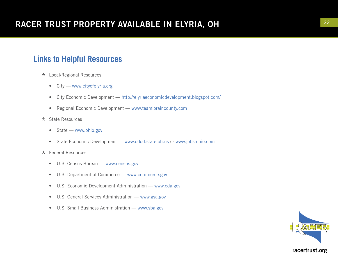### **Links to Helpful Resources**

- \* Local/Regional Resources
	- City www.cityofelyria.org
	- City Economic Development http://elyriaeconomicdevelopment.blogspot.com/
	- Regional Economic Development www.teamloraincounty.com
- \* State Resources
	- State www.ohio.gov
	- State Economic Development www.odod.state.oh.us or www.jobs-ohio.com
- \* Federal Resources
	- U.S. Census Bureau www.census.gov
	- U.S. Department of Commerce www.commerce.gov
	- U.S. Economic Development Administration www.eda.gov
	- U.S. General Services Administration www.gsa.gov
	- U.S. Small Business Administration www.sba.gov

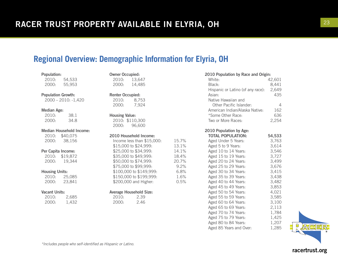# **Regional Overview: Demographic Information for Elyria, OH**

Owner Occupied:

| <b>Population:</b> |        |
|--------------------|--------|
| 2010:              | 54,533 |
| 2000:              | 55,953 |

Population Growth:

2000 – 2010: -1,420

#### Median Age:

| 2010: | 38.1 |
|-------|------|
| 2000: | 34.8 |

#### Median Household Income:

| 2010: | \$40,075 |
|-------|----------|
| 2000: | 38,156   |

#### Per Capita Income:

2010: \$19,872 2000: 19,344

#### Housing Units:

| 2010: | 25,085 |
|-------|--------|
| 2000: | 23,841 |

#### Vacant Units:

| 2010: | 2,685 |
|-------|-------|
| 2000: | 1,432 |

|                                                                                                                                                          | 2010: 13,647<br>2000: 14,485                                                                         |  |
|----------------------------------------------------------------------------------------------------------------------------------------------------------|------------------------------------------------------------------------------------------------------|--|
| <b>Renter Occupied:</b><br>2000:                                                                                                                         | 2010: 8.753<br>7,924                                                                                 |  |
| <b>Housing Value:</b>                                                                                                                                    | 2010: \$110,300<br>2000: 96,600                                                                      |  |
| 2010 Household Income:<br>Income less than \$15,000:<br>\$15,000 to \$24,999:<br>\$25,000 to \$34,999:<br>\$35,000 to \$49,999:<br>\$50,000 to \$74,999: |                                                                                                      |  |
|                                                                                                                                                          | \$75,000 to \$99,999:<br>\$100,000 to \$149,999:<br>\$150,000 to \$199,999:<br>\$200,000 and Higher: |  |
|                                                                                                                                                          | $\Lambda$ waraca Haucahald Cita.                                                                     |  |

15.7% 13.1% 14.1% 18.4% 20.7% 9.2%  $6.8%$ 1.6%  $0.5%$ 

#### Average Household Size:

2010: 2.39 2000: 2.46

| 2010 Population by Race and Origin: |        |  |
|-------------------------------------|--------|--|
| White:                              | 42,601 |  |
| Black:                              | 8,441  |  |
| Hispanic or Latino (of any race):   | 2,649  |  |
| Asian:                              | 435    |  |
| Native Hawaiian and                 |        |  |
| Other Pacific Islander:             |        |  |

| ULICI I AUTIU ISIAHUCH.        | ⊷     |
|--------------------------------|-------|
| American Indian/Alaska Native: | 162   |
| *Some Other Race:              | 636   |
| Two or More Races:             | 2,254 |

2010 Population by Age:

| <b>TOTAL POPULATION:</b> | 54,533 |
|--------------------------|--------|
| Aged Under 5 Years:      | 3,763  |
| Aged 5 to 9 Years:       | 3,614  |
| Aged 10 to 14 Years:     | 3,546  |
| Aged 15 to 19 Years:     | 3,727  |
| Aged 20 to 24 Years:     | 3,499  |
| Aged 25 to 29 Years:     | 3,676  |
| Aged 30 to 34 Years:     | 3,415  |
| Aged 35 to 39 Years:     | 3.438  |
| Aged 40 to 44 Years:     | 3,482  |
| Aged 45 to 49 Years:     | 3,853  |
| Aged 50 to 54 Years:     | 4.021  |
| Aged 55 to 59 Years:     | 3.585  |
| Aged 60 to 64 Years:     | 3,100  |
| Aged 65 to 69 Years:     | 2,113  |
| Aged 70 to 74 Years:     | 1,784  |
| Aged 75 to 79 Years:     | 1,425  |
| Aged 80 to 84 Years:     | 1,207  |
| Aged 85 Years and Over:  | 1,285  |
|                          |        |

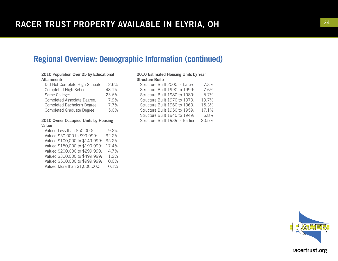### **Regional Overview: Demographic Information (continued)**

#### 2010 Population Over 25 by Educational Attainment:

| Did Not Complete High School:     | 12.6% |
|-----------------------------------|-------|
| Completed High School:            | 43.1% |
| Some College:                     | 23.6% |
| Completed Associate Degree:       | 7.9%  |
| Completed Bachelor's Degree:      | 7.7%  |
| <b>Completed Graduate Degree:</b> | 5.0%  |

#### 2010 Owner Occupied Units by Housing Value:

Valued Less than \$50,000: 9.2% Valued \$50,000 to \$99,999: 32.2% Valued \$100,000 to \$149,999: 35.2% Valued \$150,000 to \$199,999: 17.4% Valued \$200,000 to \$299,999: 4.7% Valued \$300,000 to \$499,999: 1.2% Valued \$500,000 to \$999,999: 0.0% Valued More than \$1,000,000: 0.1%

#### 2010 Estimated Housing Units by Year Structure Built:

| Structure Built 2000 or Later:   |  |  | 7.3%  |
|----------------------------------|--|--|-------|
| Structure Built 1990 to 1999:    |  |  | 7.6%  |
| Structure Built 1980 to 1989:    |  |  | 5.7%  |
| Structure Built 1970 to 1979:    |  |  | 19.7% |
| Structure Built 1960 to 1969:    |  |  | 15.3% |
| Structure Built 1950 to 1959:    |  |  | 17.1% |
| Structure Built 1940 to 1949:    |  |  | 6.8%  |
| Structure Built 1939 or Earlier: |  |  | 20.5% |
|                                  |  |  |       |

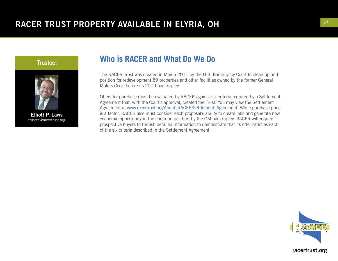

Trustee:

Elliott P. Laws trustee@racertrust.org

### **Who is RACER and What Do We Do**

The RACER Trust was created in March 2011 by the U.S. Bankruptcy Court to clean up and position for redevelopment 89 properties and other facilities owned by the former General Motors Corp. before its 2009 bankruptcy.

Offers for purchase must be evaluated by RACER against six criteria required by a Settlement Agreement that, with the Court's approval, created the Trust. You may view the Settlement Agreement at www.racertrust.org/About\_RACER/Settlement\_Agreement. While purchase price is a factor, RACER also must consider each proposal's ability to create jobs and generate new economic opportunity in the communities hurt by the GM bankruptcy. RACER will require prospective buyers to furnish detailed information to demonstrate that its offer satisfies each of the six criteria described in the Settlement Agreement.

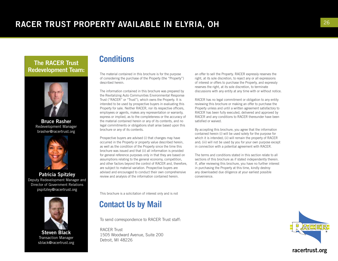#### The RACER Trust Redevelopment Team:



Bruce Rasher Redevelopment Manager brasher@racertrust.org



Patricia Spitzley Deputy Redevelopment Manager and Director of Government Relations pspitzley@racertrust.org



Steven Black Transaction Manager sblack@racertrust.org

#### **Conditions**

The material contained in this brochure is for the purpose of considering the purchase of the Property (the "Property") described herein.

The information contained in this brochure was prepared by the Revitalizing Auto Communities Environmental Response Trust ("RACER" or "Trust"), which owns the Property. It is intended to be used by prospective buyers in evaluating this Property for sale. Neither RACER, nor its respective officers, employees or agents, makes any representation or warranty, express or implied, as to the completeness or the accuracy of the material contained herein or any of its contents, and no legal commitments or obligations shall arise based upon this brochure or any of its contents.

Prospective buyers are advised (i) that changes may have occurred in the Property or property value described herein, as well as the condition of the Property since the time this brochure was issued and that (ii) all information is provided for general reference purposes only in that they are based on assumptions relating to the general economy, competition, and other factors beyond the control of RACER and, therefore, are subject to material variation. Prospective buyers are advised and encouraged to conduct their own comprehensive review and analysis of the information contained herein.

This brochure is a solicitation of interest only and is not

### **Contact Us by Mail**

To send correspondence to RACER Trust staff:

RACER Trust 1505 Woodward Avenue, Suite 200 Detroit, MI 48226

an offer to sell the Property. RACER expressly reserves the right, at its sole discretion, to reject any or all expressions of interest or offers to purchase the Property, and expressly reserves the right, at its sole discretion, to terminate discussions with any entity at any time with or without notice.

RACER has no legal commitment or obligation to any entity reviewing this brochure or making an offer to purchase the Property unless and until a written agreement satisfactory to RACER has been fully executed, delivered and approved by RACER and any conditions to RACER thereunder have been satisfied or waived.

By accepting this brochure, you agree that the information contained herein (i) will be used solely for the purpose for which it is intended; (ii) will remain the property of RACER and; (iii) will not be used by you for your own purpose except in connection with a potential agreement with RACER.

The terms and conditions stated in this section relate to all sections of this brochure as if stated independently therein. If, after reviewing this brochure, you have no further interest in purchasing the Property at this time, kindly destroy any downloaded due diligence at your earliest possible convenience.

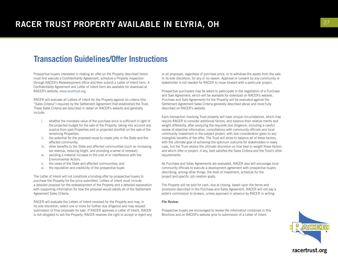#### **Transaction Guidelines/Offer Instructions**

Prospective buyers interested in making an offer on the Property described herein must first execute a Confidentiality Agreement, schedule a Property inspection through RACER's Redevelopment office and then submit a Letter of Intent form. A Confidentiality Agreement and Letter of Intent form are available for download at RACER's website: www.racertrust.org.

RACER will evaluate all Letters of Intent for the Property against six criteria (the "Sales Criteria") required by the Settlement Agreement that established the Trust. These Sales Criteria are described in detail on RACER's website and generally include:

- i. whether the monetary value of the purchase price is sufficient in light of the projected budget for the sale of the Property, taking into account any surplus from past Properties sold or projected shortfall on the sale of the remaining Properties;
- ii. the potential for the proposed reuse to create jobs in the State and the affected community;
- iii. other benefits to the State and affected communities (such as increasing tax revenue, reducing blight, and providing a sense of renewal);
- iv. avoiding a material increase in the cost of or interference with the Environmental Action;
- v. the views of the State and affected communities; and
- vi. the reputation and credibility of the prospective buyer.

The Letter of Intent will not constitute a binding offer by prospective buyers to purchase the Property for the price submitted. Letters of Intent must include a detailed proposal for the redevelopment of the Property and a detailed explanation with supporting information for how the proposal would satisfy all of the Settlement Agreement Sales Criteria.

RACER will evaluate the Letters of Intent received for the Property and may, in its sole discretion, select one or more for further due diligence and may request submission of final proposals for sale. If RACER approves a Letter of Intent, RACER is not obligated to sell the Property. RACER reserves the right to accept or reject any or all proposals, regardless of purchase price, or to withdraw the assets from the sale, in its sole discretion, for any or no reason. Approval or consent by any community or stakeholder is not needed for RACER to move forward with a particular project.

Prospective purchasers may be asked to participate in the negotiation of a Purchase and Sale Agreement, which will be available for download on RACER's website. Purchase and Sale Agreements for the Property will be evaluated against the Settlement Agreement Sales Criteria generally described above and more fully described on RACER's website.

Each transaction involving Trust property will have unique circumstances, which may require RACER to consider additional factors, and balance their relative merits and weight differently, after analyzing the requisite due diligence, including a careful review of objective information, consultations with community officials and local community investment in the subject project, with due consideration given to any intangible benefits of the offer. The Trust will strive to balance all of these factors, with the ultimate goal of achieving the optimum outcome for stakeholders in every case, but the Trust retains the ultimate discretion on how best to weight these factors and which offer or project, if any, best satisfies the Sales Criteria and the Trust's other requirements.

As Purchase and Sales Agreements are evaluated, RACER also will encourage local community officials to execute a development agreement with prospective buyers describing, among other things, the level of investment, schedule for the project and specific job creation goals.

The Property will be sold for cash, due at closing, based upon the terms and provisions described in the Purchase and Sales Agreement. RACER will not pay a seller's commission to brokers, unless approved in advance by RACER in writing.

#### File Review:

Prospective buyers are encouraged to review the information contained in this Brochure and on RACER's website prior to submission of a Letter of Intent.